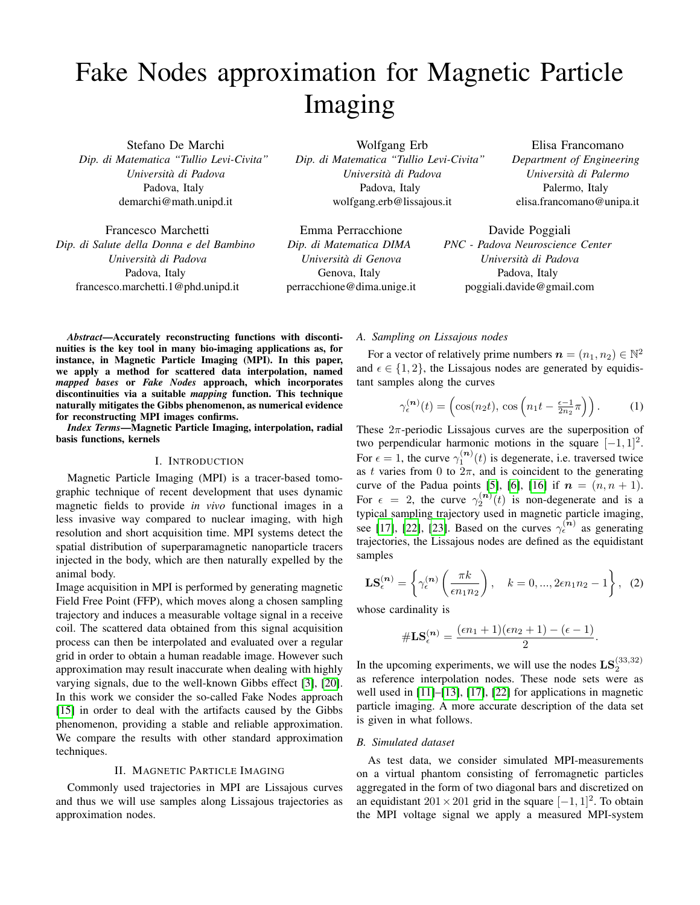# Fake Nodes approximation for Magnetic Particle Imaging

Stefano De Marchi *Dip. di Matematica "Tullio Levi-Civita" Universita di Padova `* Padova, Italy demarchi@math.unipd.it

Francesco Marchetti *Dip. di Salute della Donna e del Bambino Universita di Padova `* Padova, Italy francesco.marchetti.1@phd.unipd.it

Wolfgang Erb *Dip. di Matematica "Tullio Levi-Civita" Universita di Padova `* Padova, Italy wolfgang.erb@lissajous.it

Emma Perracchione *Dip. di Matematica DIMA Universita di Genova `* Genova, Italy perracchione@dima.unige.it

Elisa Francomano *Department of Engineering Universita di Palermo `* Palermo, Italy elisa.francomano@unipa.it

Davide Poggiali *PNC - Padova Neuroscience Center Universita di Padova `* Padova, Italy poggiali.davide@gmail.com

*Abstract*—Accurately reconstructing functions with discontinuities is the key tool in many bio-imaging applications as, for instance, in Magnetic Particle Imaging (MPI). In this paper, we apply a method for scattered data interpolation, named *mapped bases* or *Fake Nodes* approach, which incorporates discontinuities via a suitable *mapping* function. This technique naturally mitigates the Gibbs phenomenon, as numerical evidence for reconstructing MPI images confirms.

*Index Terms*—Magnetic Particle Imaging, interpolation, radial basis functions, kernels

### I. INTRODUCTION

Magnetic Particle Imaging (MPI) is a tracer-based tomographic technique of recent development that uses dynamic magnetic fields to provide *in vivo* functional images in a less invasive way compared to nuclear imaging, with high resolution and short acquisition time. MPI systems detect the spatial distribution of superparamagnetic nanoparticle tracers injected in the body, which are then naturally expelled by the animal body.

Image acquisition in MPI is performed by generating magnetic Field Free Point (FFP), which moves along a chosen sampling trajectory and induces a measurable voltage signal in a receive coil. The scattered data obtained from this signal acquisition process can then be interpolated and evaluated over a regular grid in order to obtain a human readable image. However such approximation may result inaccurate when dealing with highly varying signals, due to the well-known Gibbs effect [\[3\]](#page-3-0), [\[20\]](#page-4-0). In this work we consider the so-called Fake Nodes approach [\[15\]](#page-3-1) in order to deal with the artifacts caused by the Gibbs phenomenon, providing a stable and reliable approximation. We compare the results with other standard approximation techniques.

# II. MAGNETIC PARTICLE IMAGING

Commonly used trajectories in MPI are Lissajous curves and thus we will use samples along Lissajous trajectories as approximation nodes.

## *A. Sampling on Lissajous nodes*

For a vector of relatively prime numbers  $\mathbf{n} = (n_1, n_2) \in \mathbb{N}^2$ and  $\epsilon \in \{1, 2\}$ , the Lissajous nodes are generated by equidistant samples along the curves

$$
\gamma_{\epsilon}^{(n)}(t) = \left(\cos(n_2 t), \cos\left(n_1 t - \frac{\epsilon - 1}{2n_2}\pi\right)\right). \tag{1}
$$

These  $2\pi$ -periodic Lissajous curves are the superposition of two perpendicular harmonic motions in the square  $[-1, 1]^2$ . For  $\epsilon = 1$ , the curve  $\gamma_1^{(n)}(t)$  is degenerate, i.e. traversed twice as t varies from 0 to  $2\pi$ , and is coincident to the generating curve of the Padua points [\[5\]](#page-3-2), [\[6\]](#page-3-3), [\[16\]](#page-3-4) if  $n = (n, n + 1)$ . For  $\epsilon = 2$ , the curve  $\gamma_2^{(n)}(t)$  is non-degenerate and is a typical sampling trajectory used in magnetic particle imaging, see [\[17\]](#page-3-5), [\[22\]](#page-4-1), [\[23\]](#page-4-2). Based on the curves  $\gamma_{\epsilon}^{(n)}$  as generating trajectories, the Lissajous nodes are defined as the equidistant samples

$$
\mathbf{LS}_{\epsilon}^{(n)} = \left\{ \gamma_{\epsilon}^{(n)} \left( \frac{\pi k}{\epsilon n_1 n_2} \right), \quad k = 0, ..., 2\epsilon n_1 n_2 - 1 \right\}, \tag{2}
$$

whose cardinality is

$$
\#\mathbf{LS}_{\epsilon}^{(n)} = \frac{(\epsilon n_1 + 1)(\epsilon n_2 + 1) - (\epsilon - 1)}{2}.
$$

In the upcoming experiments, we will use the nodes  $\mathbf{LS}_2^{(33,32)}$ as reference interpolation nodes. These node sets were as well used in [\[11\]](#page-3-6)–[\[13\]](#page-3-7), [\[17\]](#page-3-5), [\[22\]](#page-4-1) for applications in magnetic particle imaging. A more accurate description of the data set is given in what follows.

# *B. Simulated dataset*

As test data, we consider simulated MPI-measurements on a virtual phantom consisting of ferromagnetic particles aggregated in the form of two diagonal bars and discretized on an equidistant  $201 \times 201$  grid in the square  $[-1, 1]^2$ . To obtain the MPI voltage signal we apply a measured MPI-system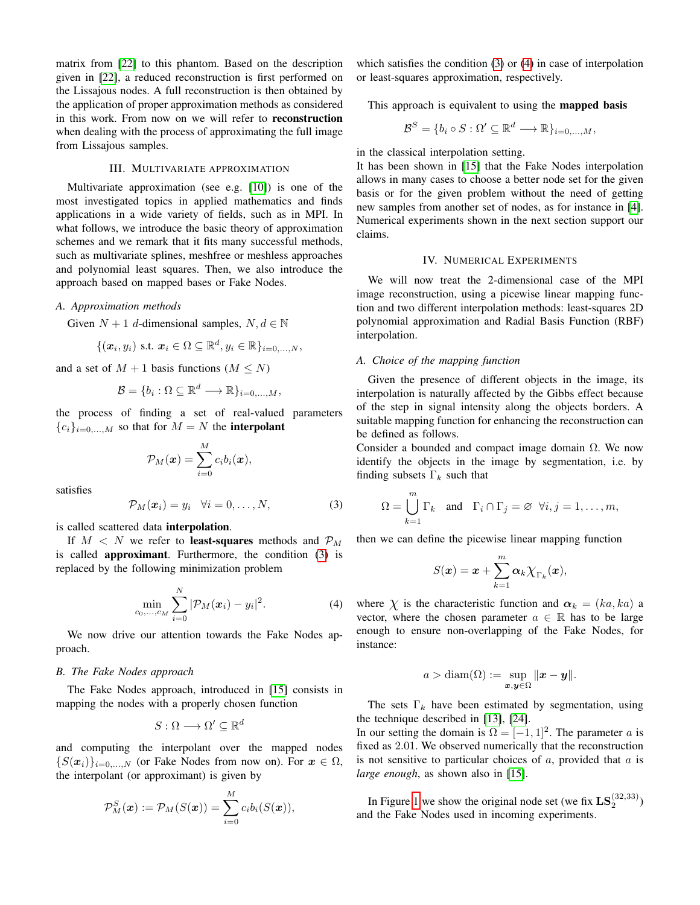matrix from [\[22\]](#page-4-1) to this phantom. Based on the description given in [\[22\]](#page-4-1), a reduced reconstruction is first performed on the Lissajous nodes. A full reconstruction is then obtained by the application of proper approximation methods as considered in this work. From now on we will refer to reconstruction when dealing with the process of approximating the full image from Lissajous samples.

# III. MULTIVARIATE APPROXIMATION

Multivariate approximation (see e.g. [\[10\]](#page-3-8)) is one of the most investigated topics in applied mathematics and finds applications in a wide variety of fields, such as in MPI. In what follows, we introduce the basic theory of approximation schemes and we remark that it fits many successful methods, such as multivariate splines, meshfree or meshless approaches and polynomial least squares. Then, we also introduce the approach based on mapped bases or Fake Nodes.

#### *A. Approximation methods*

Given  $N + 1$  d-dimensional samples,  $N, d \in \mathbb{N}$ 

$$
\{(\boldsymbol{x}_i, y_i) \text{ s.t. } \boldsymbol{x}_i \in \Omega \subseteq \mathbb{R}^d, y_i \in \mathbb{R}\}_{i=0,\ldots,N},
$$

and a set of  $M + 1$  basis functions  $(M \leq N)$ 

$$
\mathcal{B} = \{b_i : \Omega \subseteq \mathbb{R}^d \longrightarrow \mathbb{R}\}_{i=0,\ldots,M},
$$

the process of finding a set of real-valued parameters  ${c_i}_{i=0,...,M}$  so that for  $M = N$  the **interpolant** 

$$
\mathcal{P}_M(\boldsymbol{x}) = \sum_{i=0}^M c_i b_i(\boldsymbol{x}),
$$

satisfies

<span id="page-1-0"></span>
$$
\mathcal{P}_M(\boldsymbol{x}_i) = y_i \quad \forall i = 0, \dots, N,
$$
\n(3)

is called scattered data interpolation.

If  $M < N$  we refer to least-squares methods and  $\mathcal{P}_M$ is called approximant. Furthermore, the condition [\(3\)](#page-1-0) is replaced by the following minimization problem

<span id="page-1-1"></span>
$$
\min_{c_0,\dots,c_M} \sum_{i=0}^N |\mathcal{P}_M(x_i) - y_i|^2.
$$
 (4)

We now drive our attention towards the Fake Nodes approach.

## *B. The Fake Nodes approach*

The Fake Nodes approach, introduced in [\[15\]](#page-3-1) consists in mapping the nodes with a properly chosen function

$$
S:\Omega\longrightarrow \Omega'\subseteq \mathbb{R}^d
$$

and computing the interpolant over the mapped nodes  $\{S(\mathbf{x}_i)\}_{i=0,\dots,N}$  (or Fake Nodes from now on). For  $\mathbf{x} \in \Omega$ , the interpolant (or approximant) is given by

$$
\mathcal{P}_M^S(\boldsymbol{x}):=\mathcal{P}_M(S(\boldsymbol{x}))=\sum_{i=0}^M c_ib_i(S(\boldsymbol{x})),
$$

which satisfies the condition [\(3\)](#page-1-0) or [\(4\)](#page-1-1) in case of interpolation or least-squares approximation, respectively.

This approach is equivalent to using the mapped basis

$$
\mathcal{B}^S = \{b_i \circ S : \Omega' \subseteq \mathbb{R}^d \longrightarrow \mathbb{R}\}_{i=0,...,M},
$$

in the classical interpolation setting.

It has been shown in [\[15\]](#page-3-1) that the Fake Nodes interpolation allows in many cases to choose a better node set for the given basis or for the given problem without the need of getting new samples from another set of nodes, as for instance in [\[4\]](#page-3-9). Numerical experiments shown in the next section support our claims.

# IV. NUMERICAL EXPERIMENTS

We will now treat the 2-dimensional case of the MPI image reconstruction, using a picewise linear mapping function and two different interpolation methods: least-squares 2D polynomial approximation and Radial Basis Function (RBF) interpolation.

## *A. Choice of the mapping function*

Given the presence of different objects in the image, its interpolation is naturally affected by the Gibbs effect because of the step in signal intensity along the objects borders. A suitable mapping function for enhancing the reconstruction can be defined as follows.

Consider a bounded and compact image domain  $\Omega$ . We now identify the objects in the image by segmentation, i.e. by finding subsets  $\Gamma_k$  such that

$$
\Omega = \bigcup_{k=1}^{m} \Gamma_k \quad \text{and} \quad \Gamma_i \cap \Gamma_j = \varnothing \ \forall i, j = 1, \dots, m,
$$

then we can define the picewise linear mapping function

$$
S(\boldsymbol{x}) = \boldsymbol{x} + \sum_{k=1}^m \boldsymbol{\alpha}_k \chi_{\Gamma_k}(\boldsymbol{x}),
$$

where  $\chi$  is the characteristic function and  $\alpha_k = (ka, ka)$  a vector, where the chosen parameter  $a \in \mathbb{R}$  has to be large enough to ensure non-overlapping of the Fake Nodes, for instance:

$$
a > \operatorname{diam}(\Omega) := \sup_{\bm{x}, \bm{y} \in \Omega} \|\bm{x} - \bm{y}\|.
$$

The sets  $\Gamma_k$  have been estimated by segmentation, using the technique described in [\[13\]](#page-3-7), [\[24\]](#page-4-3).

In our setting the domain is  $\Omega = [-1, 1]^2$ . The parameter a is fixed as 2.01. We observed numerically that the reconstruction is not sensitive to particular choices of  $a$ , provided that  $a$  is *large enough*, as shown also in [\[15\]](#page-3-1).

In Figure [1](#page-2-0) we show the original node set (we fix  $\mathbf{LS}_2^{(32,33)}$ ) and the Fake Nodes used in incoming experiments.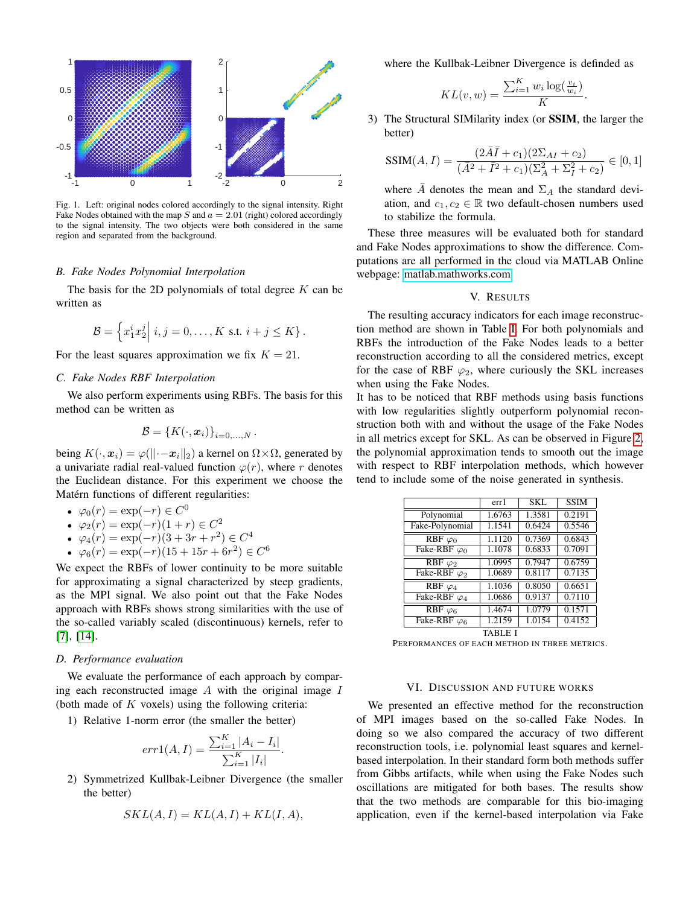

<span id="page-2-0"></span>Fig. 1. Left: original nodes colored accordingly to the signal intensity. Right Fake Nodes obtained with the map S and  $a = 2.01$  (right) colored accordingly to the signal intensity. The two objects were both considered in the same region and separated from the background.

# *B. Fake Nodes Polynomial Interpolation*

The basis for the 2D polynomials of total degree  $K$  can be written as

$$
\mathcal{B} = \left\{ x_1^i x_2^j \middle| i, j = 0, \ldots, K \text{ s.t. } i + j \leq K \right\}.
$$

For the least squares approximation we fix  $K = 21$ .

# *C. Fake Nodes RBF Interpolation*

We also perform experiments using RBFs. The basis for this method can be written as

$$
\mathcal{B} = \left\{K(\cdot, \boldsymbol{x}_i)\right\}_{i=0,\ldots,N}.
$$

being  $K(\cdot, x_i) = \varphi(||\cdot - x_i||_2)$  a kernel on  $\Omega \times \Omega$ , generated by a univariate radial real-valued function  $\varphi(r)$ , where r denotes the Euclidean distance. For this experiment we choose the Matérn functions of different regularities:

• 
$$
\varphi_0(r) = \exp(-r) \in C^0
$$

$$
\bullet \ \varphi_2(r) = \exp(-r)(1+r) \in C^2
$$

• 
$$
\varphi_4(r) = \exp(-r)(3 + 3r + r^2) \in C^4
$$

•  $\varphi_6(r) = \exp(-r)(15 + 15r + 6r^2) \in C^6$ 

We expect the RBFs of lower continuity to be more suitable for approximating a signal characterized by steep gradients, as the MPI signal. We also point out that the Fake Nodes approach with RBFs shows strong similarities with the use of the so-called variably scaled (discontinuous) kernels, refer to [\[7\]](#page-3-10), [\[14\]](#page-3-11).

## *D. Performance evaluation*

We evaluate the performance of each approach by comparing each reconstructed image  $A$  with the original image  $I$ (both made of  $K$  voxels) using the following criteria:

1) Relative 1-norm error (the smaller the better)

$$
err1(A, I) = \frac{\sum_{i=1}^{K} |A_i - I_i|}{\sum_{i=1}^{K} |I_i|}
$$

.

2) Symmetrized Kullbak-Leibner Divergence (the smaller the better)

$$
SKL(A, I) = KL(A, I) + KL(I, A),
$$

where the Kullbak-Leibner Divergence is definded as

$$
KL(v, w) = \frac{\sum_{i=1}^{K} w_i \log(\frac{v_i}{w_i})}{K}.
$$

3) The Structural SIMilarity index (or SSIM, the larger the better)

$$
SSIM(A, I) = \frac{(2\bar{A}I + c_1)(2\Sigma_{AI} + c_2)}{(\bar{A}^2 + \bar{I}^2 + c_1)(\Sigma_A^2 + \Sigma_I^2 + c_2)} \in [0, 1]
$$

where  $\overline{A}$  denotes the mean and  $\Sigma_A$  the standard deviation, and  $c_1, c_2 \in \mathbb{R}$  two default-chosen numbers used to stabilize the formula.

These three measures will be evaluated both for standard and Fake Nodes approximations to show the difference. Computations are all performed in the cloud via MATLAB Online webpage: [matlab.mathworks.com.](matlab.mathworks.com)

## V. RESULTS

The resulting accuracy indicators for each image reconstruction method are shown in Table [I.](#page-2-1) For both polynomials and RBFs the introduction of the Fake Nodes leads to a better reconstruction according to all the considered metrics, except for the case of RBF  $\varphi_2$ , where curiously the SKL increases when using the Fake Nodes.

It has to be noticed that RBF methods using basis functions with low regularities slightly outperform polynomial reconstruction both with and without the usage of the Fake Nodes in all metrics except for SKL. As can be observed in Figure [2,](#page-3-12) the polynomial approximation tends to smooth out the image with respect to RBF interpolation methods, which however tend to include some of the noise generated in synthesis.

|                      | err1   | <b>SKL</b> | <b>SSIM</b> |
|----------------------|--------|------------|-------------|
| Polynomial           | 1.6763 | 1.3581     | 0.2191      |
| Fake-Polynomial      | 1.1541 | 0.6424     | 0.5546      |
| $RBF \varphi_0$      | 1.1120 | 0.7369     | 0.6843      |
| Fake-RBF $\varphi_0$ | 1.1078 | 0.6833     | 0.7091      |
| RBF $\varphi_2$      | 1.0995 | 0.7947     | 0.6759      |
| Fake-RBF $\varphi_2$ | 1.0689 | 0.8117     | 0.7135      |
| RBF $\varphi_4$      | 1.1036 | 0.8050     | 0.6651      |
| Fake-RBF $\varphi_4$ | 1.0686 | 0.9137     | 0.7110      |
| $RBF \varphi_6$      | 1.4674 | 1.0779     | 0.1571      |
| Fake-RBF $\varphi_6$ | 1.2159 | 1.0154     | 0.4152      |
|                      |        |            |             |

TABLE I

<span id="page-2-1"></span>PERFORMANCES OF EACH METHOD IN THREE METRICS.

## VI. DISCUSSION AND FUTURE WORKS

We presented an effective method for the reconstruction of MPI images based on the so-called Fake Nodes. In doing so we also compared the accuracy of two different reconstruction tools, i.e. polynomial least squares and kernelbased interpolation. In their standard form both methods suffer from Gibbs artifacts, while when using the Fake Nodes such oscillations are mitigated for both bases. The results show that the two methods are comparable for this bio-imaging application, even if the kernel-based interpolation via Fake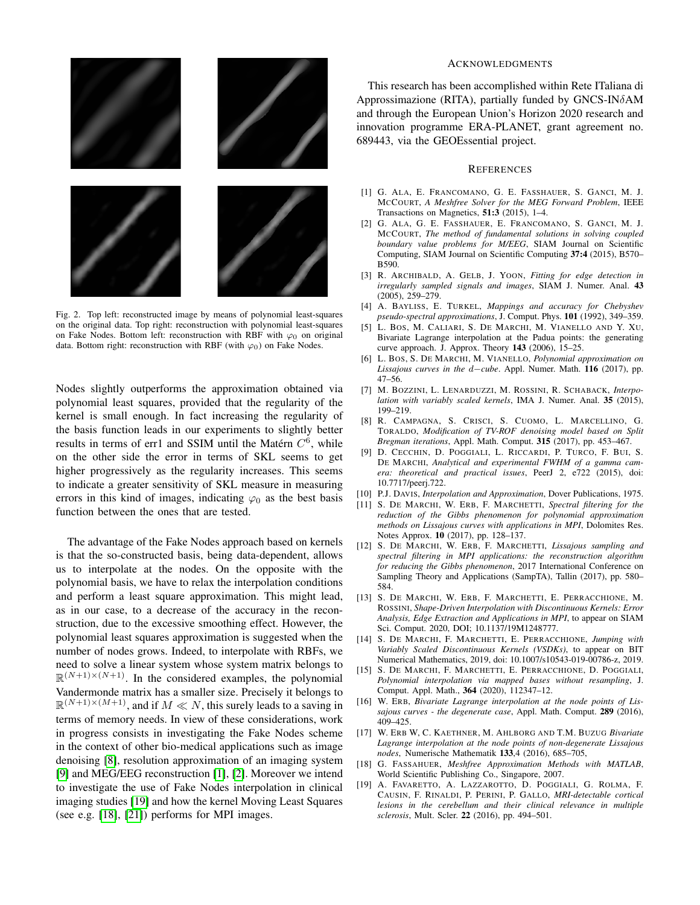

<span id="page-3-12"></span>Fig. 2. Top left: reconstructed image by means of polynomial least-squares on the original data. Top right: reconstruction with polynomial least-squares on Fake Nodes. Bottom left: reconstruction with RBF with  $\varphi_0$  on original data. Bottom right: reconstruction with RBF (with  $\varphi_0$ ) on Fake Nodes.

Nodes slightly outperforms the approximation obtained via polynomial least squares, provided that the regularity of the kernel is small enough. In fact increasing the regularity of the basis function leads in our experiments to slightly better results in terms of err1 and SSIM until the Matérn  $C^6$ , while on the other side the error in terms of SKL seems to get higher progressively as the regularity increases. This seems to indicate a greater sensitivity of SKL measure in measuring errors in this kind of images, indicating  $\varphi_0$  as the best basis function between the ones that are tested.

The advantage of the Fake Nodes approach based on kernels is that the so-constructed basis, being data-dependent, allows us to interpolate at the nodes. On the opposite with the polynomial basis, we have to relax the interpolation conditions and perform a least square approximation. This might lead, as in our case, to a decrease of the accuracy in the reconstruction, due to the excessive smoothing effect. However, the polynomial least squares approximation is suggested when the number of nodes grows. Indeed, to interpolate with RBFs, we need to solve a linear system whose system matrix belongs to  $\mathbb{R}^{(N+1)\times(N+1)}$ . In the considered examples, the polynomial Vandermonde matrix has a smaller size. Precisely it belongs to  $\mathbb{R}^{(N+1)\times(M+1)}$ , and if  $M \ll N$ , this surely leads to a saving in terms of memory needs. In view of these considerations, work in progress consists in investigating the Fake Nodes scheme in the context of other bio-medical applications such as image denoising [\[8\]](#page-3-13), resolution approximation of an imaging system [\[9\]](#page-3-14) and MEG/EEG reconstruction [\[1\]](#page-3-15), [\[2\]](#page-3-16). Moreover we intend to investigate the use of Fake Nodes interpolation in clinical imaging studies [\[19\]](#page-3-17) and how the kernel Moving Least Squares (see e.g. [\[18\]](#page-3-18), [\[21\]](#page-4-4)) performs for MPI images.

## ACKNOWLEDGMENTS

This research has been accomplished within Rete ITaliana di Approssimazione (RITA), partially funded by GNCS-INδAM and through the European Union's Horizon 2020 research and innovation programme ERA-PLANET, grant agreement no. 689443, via the GEOEssential project.

#### **REFERENCES**

- <span id="page-3-15"></span>[1] G. ALA, E. FRANCOMANO, G. E. FASSHAUER, S. GANCI, M. J. MCCOURT, *A Meshfree Solver for the MEG Forward Problem*, IEEE Transactions on Magnetics, 51:3 (2015), 1–4.
- <span id="page-3-16"></span>[2] G. ALA, G. E. FASSHAUER, E. FRANCOMANO, S. GANCI, M. J. MCCOURT, *The method of fundamental solutions in solving coupled boundary value problems for M/EEG*, SIAM Journal on Scientific Computing, SIAM Journal on Scientific Computing 37:4 (2015), B570– B590.
- <span id="page-3-0"></span>[3] R. ARCHIBALD, A. GELB, J. YOON, *Fitting for edge detection in irregularly sampled signals and images*, SIAM J. Numer. Anal. 43 (2005), 259–279.
- <span id="page-3-9"></span>[4] A. BAYLISS, E. TURKEL, *Mappings and accuracy for Chebyshev pseudo-spectral approximations*, J. Comput. Phys. 101 (1992), 349–359.
- <span id="page-3-2"></span>[5] L. BOS, M. CALIARI, S. DE MARCHI, M. VIANELLO AND Y. XU, Bivariate Lagrange interpolation at the Padua points: the generating curve approach. J. Approx. Theory 143 (2006), 15–25.
- <span id="page-3-3"></span>[6] L. BOS, S. DE MARCHI, M. VIANELLO, *Polynomial approximation on Lissajous curves in the* d−*cube*. Appl. Numer. Math. 116 (2017), pp. 47–56.
- <span id="page-3-10"></span>[7] M. BOZZINI, L. LENARDUZZI, M. ROSSINI, R. SCHABACK, *Interpolation with variably scaled kernels*, IMA J. Numer. Anal. 35 (2015), 199–219.
- <span id="page-3-13"></span>[8] R. CAMPAGNA, S. CRISCI, S. CUOMO, L. MARCELLINO, G. TORALDO, *Modification of TV-ROF denoising model based on Split Bregman iterations*, Appl. Math. Comput. 315 (2017), pp. 453–467.
- <span id="page-3-14"></span>[9] D. CECCHIN, D. POGGIALI, L. RICCARDI, P. TURCO, F. BUI, S. DE MARCHI, *Analytical and experimental FWHM of a gamma camera: theoretical and practical issues*, PeerJ 2, e722 (2015), doi: 10.7717/peerj.722.
- <span id="page-3-8"></span>[10] P.J. DAVIS, *Interpolation and Approximation*, Dover Publications, 1975.
- <span id="page-3-6"></span>[11] S. DE MARCHI, W. ERB, F. MARCHETTI, *Spectral filtering for the reduction of the Gibbs phenomenon for polynomial approximation methods on Lissajous curves with applications in MPI*, Dolomites Res. Notes Approx. 10 (2017), pp. 128–137.
- [12] S. DE MARCHI, W. ERB, F. MARCHETTI, *Lissajous sampling and spectral filtering in MPI applications: the reconstruction algorithm for reducing the Gibbs phenomenon*, 2017 International Conference on Sampling Theory and Applications (SampTA), Tallin (2017), pp. 580– 584.
- <span id="page-3-7"></span>[13] S. DE MARCHI, W. ERB, F. MARCHETTI, E. PERRACCHIONE, M. ROSSINI, *Shape-Driven Interpolation with Discontinuous Kernels: Error Analysis, Edge Extraction and Applications in MPI*, to appear on SIAM Sci. Comput. 2020, DOI; 10.1137/19M1248777.
- <span id="page-3-11"></span>[14] S. DE MARCHI, F. MARCHETTI, E. PERRACCHIONE, *Jumping with Variably Scaled Discontinuous Kernels (VSDKs)*, to appear on BIT Numerical Mathematics, 2019, doi: 10.1007/s10543-019-00786-z, 2019.
- <span id="page-3-1"></span>[15] S. DE MARCHI, F. MARCHETTI, E. PERRACCHIONE, D. POGGIALI, *Polynomial interpolation via mapped bases without resampling*, J. Comput. Appl. Math., 364 (2020), 112347–12.
- <span id="page-3-4"></span>[16] W. ERB, *Bivariate Lagrange interpolation at the node points of Lissajous curves - the degenerate case*, Appl. Math. Comput. 289 (2016), 409–425.
- <span id="page-3-5"></span>[17] W. ERB W, C. KAETHNER, M. AHLBORG AND T.M. BUZUG *Bivariate Lagrange interpolation at the node points of non-degenerate Lissajous nodes*, Numerische Mathematik 133,4 (2016), 685–705,
- <span id="page-3-18"></span>[18] G. FASSAHUER, *Meshfree Approximation Methods with MATLAB*, World Scientific Publishing Co., Singapore, 2007.
- <span id="page-3-17"></span>[19] A. FAVARETTO, A. LAZZAROTTO, D. POGGIALI, G. ROLMA, F. CAUSIN, F. RINALDI, P. PERINI, P. GALLO, *MRI-detectable cortical lesions in the cerebellum and their clinical relevance in multiple sclerosis*, Mult. Scler. 22 (2016), pp. 494–501.